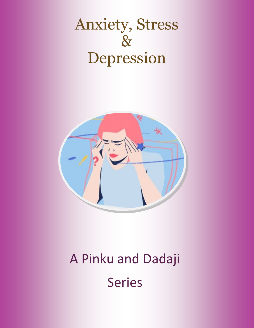# Anxiety, Stress & Depression



# A Pinku and Dadaji Series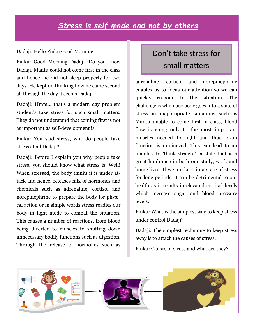## *Stress is self made and not by others*

#### Dadaji: Hello Pinku Good Morning!

Pinku: Good Morning Dadaji. Do you know Dadaji, Mantu could not come first in the class and hence, he did not sleep properly for two days. He kept on thinking how he came second all through the day it seems Dadaji.

Dadaji: Hmm… that's a modern day problem student's take stress for such small matters. They do not understand that coming first is not as important as self-development is.

Pinku: You said stress, why do people take stress at all Dadaji?

Dadaji: Before I explain you why people take stress, you should know what stress is. Well! When stressed, the body thinks it is under attack and hence, releases mix of hormones and chemicals such as adrenaline, cortisol and norepinephrine to prepare the body for physical action or in simple words stress readies our body in fight mode to combat the situation. This causes a number of reactions, from blood being diverted to muscles to shutting down unnecessary bodily functions such as digestion. Through the release of hormones such as

# Don't take stress for small matters

adrenaline, cortisol and norepinephrine enables us to focus our attention so we can quickly respond to the situation. The challenge is when our body goes into a state of stress in inappropriate situations such as Mantu unable to come first in class, blood flow is going only to the most important muscles needed to fight and thus brain function is minimized. This can lead to an inability to 'think straight', a state that is a great hindrance in both our study, work and home lives. If we are kept in a state of stress for long periods, it can be detrimental to our health as it results in elevated cortisol levels which increase sugar and blood pressure levels.

Pinku: What is the simplest way to keep stress under control Dadaji?

Dadaji: The simplest technique to keep stress away is to attack the causes of stress.

Pinku: Causes of stress and what are they?

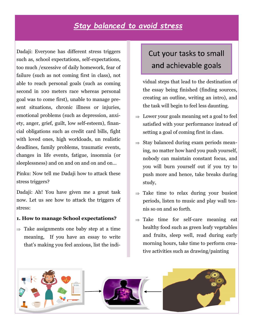# *Stay balanced to avoid stress*

Dadaji: Everyone has different stress triggers such as, school expectations, self-expectations, too much /excessive of daily homework, fear of failure (such as not coming first in class), not able to reach personal goals (such as coming second in 100 meters race whereas personal goal was to come first), unable to manage present situations, chronic illness or injuries, emotional problems (such as depression, anxiety, anger, grief, guilt, low self-esteem), financial obligations such as credit card bills, fight with loved ones, high workloads, un realistic deadlines, family problems, traumatic events, changes in life events, fatigue, insomnia (or sleeplessness) and on and on and on and on…

Pinku: Now tell me Dadaji how to attack these stress triggers?

Dadaji: Ah! You have given me a great task now. Let us see how to attack the triggers of stress:

#### **1. How to manage School expectations?**

 $\Rightarrow$  Take assignments one baby step at a time meaning, If you have an essay to write that's making you feel anxious, list the indi-

# Cut your tasks to small and achievable goals

vidual steps that lead to the destination of the essay being finished (finding sources, creating an outline, writing an intro), and the task will begin to feel less daunting.

- $\Rightarrow$  Lower your goals meaning set a goal to feel satisfied with your performance instead of setting a goal of coming first in class.
- $\Rightarrow$  Stay balanced during exam periods meaning, no matter how hard you push yourself, nobody can maintain constant focus, and you will burn yourself out if you try to push more and hence, take breaks during study,
- $\Rightarrow$  Take time to relax during your busiest periods, listen to music and play wall tennis so on and so forth.
- $\Rightarrow$  Take time for self-care meaning eat healthy food such as green leafy vegetables and fruits, sleep well, read during early morning hours, take time to perform creative activities such as drawing/painting

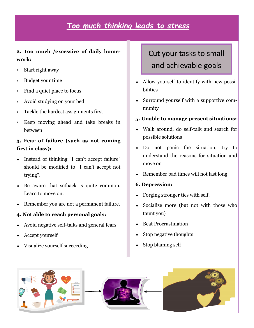# *Too much thinking leads to stress*

### **2. Too much /excessive of daily homework:**

- Start right away
- Budget your time
- Find a quiet place to focus
- Avoid studying on your bed
- Tackle the hardest assignments first
- Keep moving ahead and take breaks in between

### **3. Fear of failure (such as not coming first in class):**

- Instead of thinking "I can't accept failure" should be modified to "I can't accept not trying".
- Be aware that setback is quite common. Learn to move on.
- Remember you are not a permanent failure.

### **4. Not able to reach personal goals:**

- Avoid negative self-talks and general fears
- Accept yourself
- Visualize yourself succeeding

# Cut your tasks to small and achievable goals

- Allow yourself to identify with new possibilities
- Surround yourself with a supportive community

### **5. Unable to manage present situations:**

- Walk around, do self-talk and search for possible solutions
- Do not panic the situation, try to understand the reasons for situation and move on
- Remember bad times will not last long

### **6. Depression:**

- Forging stronger ties with self.
- Socialize more (but not with those who taunt you)
- Beat Procrastination
- Stop negative thoughts
- Stop blaming self

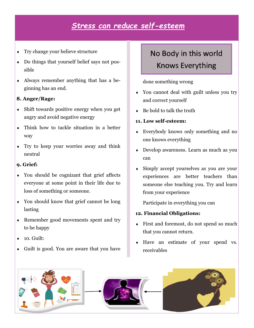# *Stress can reduce self-esteem*

- Try change your believe structure
- Do things that yourself belief says not possible
- Always remember anything that has a beginning has an end.

### **8. Anger/Rage:**

- Shift towards positive energy when you get angry and avoid negative energy
- Think how to tackle situation in a better way
- Try to keep your worries away and think neutral

### **9. Grief:**

- You should be cognizant that grief affects everyone at some point in their life due to loss of something or someone.
- You should know that grief cannot be long lasting
- Remember good movements spent and try to be happy
- 10. Guilt:
- Guilt is good. You are aware that you have

# No Body in this world Knows Everything

done something wrong

- You cannot deal with guilt unless you try and correct yourself
- Be bold to talk the truth

### **11. Low self-esteem:**

- Everybody knows only something and no one knows everything
- Develop awareness. Learn as much as you can
- Simply accept yourselves as you are your experiences are better teachers than someone else teaching you. Try and learn from your experience

Participate in everything you can

### **12. Financial Obligations:**

- First and foremost, do not spend so much that you cannot return.
- Have an estimate of your spend vs. receivables

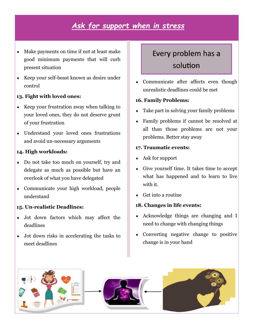# *Ask for support when in stress*

- Make payments on time if not at least make good minimum payments that will curb present situation
- Keep your self-beast known as desire under control

### **13. Fight with loved ones:**

- $\triangle$  Keep your frustration away when talking to your loved ones, they do not deserve grunt of your frustration
- Understand your loved ones frustrations and avoid un-necessary arguments

### **14. High workloads:**

- Do not take too much on yourself, try and delegate as much as possible but have an overlook of what you have delegated
- Communicate your high workload, people understand

#### **15. Un-realistic Deadlines:**

- Jot down factors which may affect the deadlines
- Jot down risks in accelerating the tasks to meet deadlines

# Every problem has a solution

 Communicate after affects even though unrealistic deadlines could be met

### **16. Family Problems:**

- Take part in solving your family problems
- Family problems if cannot be resolved at all than those problems are not your problems. Better stay away

#### **17. Traumatic events:**

- Ask for support
- Give yourself time. It takes time to accept what has happened and to learn to live with it.
- Get into a routine

#### **18. Changes in life events:**

- Acknowledge things are changing and I need to change with changing things
- Converting negative change to positive change is in your hand

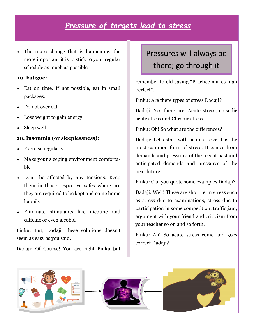## *Pressure of targets lead to stress*

 The more change that is happening, the more important it is to stick to your regular schedule as much as possible

#### **19. Fatigue:**

- Eat on time. If not possible, eat in small packages.
- Do not over eat
- Lose weight to gain energy
- Sleep well

### **20. Insomnia (or sleeplessness):**

- Exercise regularly
- Make your sleeping environment comfortable
- Don't be affected by any tensions. Keep them in those respective safes where are they are required to be kept and come home happily.
- Eliminate stimulants like nicotine and caffeine or even alcohol

Pinku: But, Dadaji, these solutions doesn't seem as easy as you said.

Dadaji: Of Course! You are right Pinku but

# Pressures will always be there; go through it

remember to old saying "Practice makes man perfect".

Pinku: Are there types of stress Dadaji?

Dadaji: Yes there are. Acute stress, episodic acute stress and Chronic stress.

Pinku: Oh! So what are the differences?

Dadaji: Let's start with acute stress; it is the most common form of stress. It comes from demands and pressures of the recent past and anticipated demands and pressures of the near future.

Pinku: Can you quote some examples Dadaji?

Dadaji: Well! These are short term stress such as stress due to examinations, stress due to participation in some competition, traffic jam, argument with your friend and criticism from your teacher so on and so forth.

Pinku: Ah! So acute stress come and goes correct Dadaji?

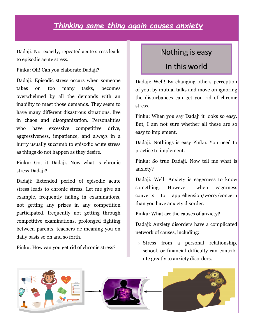# *Thinking same thing again causes anxiety*

Dadaji: Not exactly, repeated acute stress leads to episodic acute stress.

Pinku: Oh! Can you elaborate Dadaji?

Dadaji: Episodic stress occurs when someone takes on too many tasks, becomes overwhelmed by all the demands with an inability to meet those demands. They seem to have many different disastrous situations, live in chaos and disorganization. Personalities who have excessive competitive drive, aggressiveness, impatience, and always in a hurry usually succumb to episodic acute stress as things do not happen as they desire.

Pinku: Got it Dadaji. Now what is chronic stress Dadaji?

Dadaji: Extended period of episodic acute stress leads to chronic stress. Let me give an example, frequently failing in examinations, not getting any prizes in any competition participated, frequently not getting through competitive examinations, prolonged fighting between parents, teachers de meaning you on daily basis so on and so forth.

Pinku: How can you get rid of chronic stress?

### Nothing is easy

### In this world

Dadaji: Well! By changing others perception of you, by mutual talks and move on ignoring the disturbances can get you rid of chronic stress.

Pinku: When you say Dadaji it looks so easy. But, I am not sure whether all these are so easy to implement.

Dadaji: Nothings is easy Pinku. You need to practice to implement.

Pinku: So true Dadaji. Now tell me what is anxiety?

Dadaji: Well! Anxiety is eagerness to know something. However, when eagerness converts to apprehension/worry/concern than you have anxiety disorder.

Pinku: What are the causes of anxiety?

Dadaji: Anxiety disorders have a complicated network of causes, including:

 $\Rightarrow$  Stress from a personal relationship, school, or financial difficulty can contribute greatly to anxiety disorders.

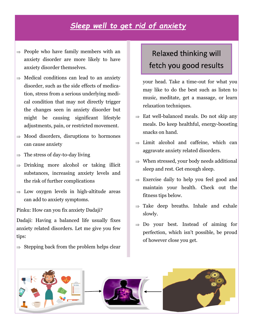# *Sleep well to get rid of anxiety*

- $\Rightarrow$  People who have family members with an anxiety disorder are more likely to have anxiety disorder themselves.
- $\Rightarrow$  Medical conditions can lead to an anxiety disorder, such as the side effects of medication, stress from a serious underlying medical condition that may not directly trigger the changes seen in anxiety disorder but might be causing significant lifestyle adjustments, pain, or restricted movement.
- $\Rightarrow$  Mood disorders, disruptions to hormones can cause anxiety
- $\Rightarrow$  The stress of day-to-day living
- $\Rightarrow$  Drinking more alcohol or taking illicit substances, increasing anxiety levels and the risk of further complications
- $\Rightarrow$  Low oxygen levels in high-altitude areas can add to anxiety symptoms.

Pinku: How can you fix anxiety Dadaji?

Dadaji: Having a balanced life usually fixes anxiety related disorders. Let me give you few tips:

 $\Rightarrow$  Stepping back from the problem helps clear

# Relaxed thinking will fetch you good results

your head. Take a time-out for what you may like to do the best such as listen to music, meditate, get a massage, or learn relaxation techniques.

- $\Rightarrow$  Eat well-balanced meals. Do not skip any meals. Do keep healthful, energy-boosting snacks on hand.
- $\Rightarrow$  Limit alcohol and caffeine, which can aggravate anxiety related disorders.
- $\Rightarrow$  When stressed, your body needs additional sleep and rest. Get enough sleep.
- $\Rightarrow$  Exercise daily to help you feel good and maintain your health. Check out the fitness tips below.
- $\Rightarrow$  Take deep breaths. Inhale and exhale slowly.
- $\Rightarrow$  Do your best. Instead of aiming for perfection, which isn't possible, be proud of however close you get.

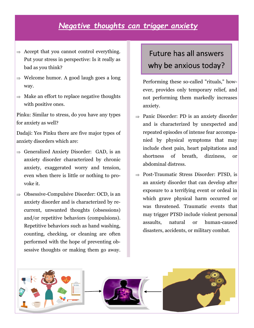# *Negative thoughts can trigger anxiety*

- $\Rightarrow$  Accept that you cannot control everything. Put your stress in perspective: Is it really as bad as you think?
- $\Rightarrow$  Welcome humor. A good laugh goes a long way.
- $\Rightarrow$  Make an effort to replace negative thoughts with positive ones.

Pinku: Similar to stress, do you have any types for anxiety as well?

Dadaji: Yes Pinku there are five major types of anxiety disorders which are:

- $\Rightarrow$  Generalized Anxiety Disorder: GAD, is an anxiety disorder characterized by chronic anxiety, exaggerated worry and tension, even when there is little or nothing to provoke it.
- $\Rightarrow$  Obsessive-Compulsive Disorder: OCD, is an anxiety disorder and is characterized by recurrent, unwanted thoughts (obsessions) and/or repetitive behaviors (compulsions). Repetitive behaviors such as hand washing, counting, checking, or cleaning are often performed with the hope of preventing obsessive thoughts or making them go away.

# Future has all answers why be anxious today?

Performing these so-called "rituals," however, provides only temporary relief, and not performing them markedly increases anxiety.

- $\Rightarrow$  Panic Disorder: PD is an anxiety disorder and is characterized by unexpected and repeated episodes of intense fear accompanied by physical symptoms that may include chest pain, heart palpitations and shortness of breath, dizziness, or abdominal distress.
- $\Rightarrow$  Post-Traumatic Stress Disorder: PTSD, is an anxiety disorder that can develop after exposure to a terrifying event or ordeal in which grave physical harm occurred or was threatened. Traumatic events that may trigger PTSD include violent personal assaults, natural or human-caused disasters, accidents, or military combat.

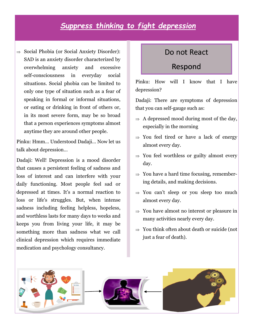# *Suppress thinking to fight depression*

 $\Rightarrow$  Social Phobia (or Social Anxiety Disorder): SAD is an anxiety disorder characterized by overwhelming anxiety and excessive self-consciousness in everyday social situations. Social phobia can be limited to only one type of situation such as a fear of speaking in formal or informal situations, or eating or drinking in front of others or, in its most severe form, may be so broad that a person experiences symptoms almost anytime they are around other people.

Pinku: Hmm… Understood Dadaji… Now let us talk about depression…

Dadaji: Well! Depression is a mood disorder that causes a persistent feeling of sadness and loss of interest and can interfere with your daily functioning. Most people feel sad or depressed at times. It's a normal reaction to loss or life's struggles. But, when intense sadness including feeling helpless, hopeless, and worthless lasts for many days to weeks and keeps you from living your life, it may be something more than sadness what we call clinical depression which requires immediate medication and psychology consultancy.

### Do not React

### Respond

Pinku: How will I know that I have depression?

Dadaji: There are symptoms of depression that you can self-gauge such as:

- $\Rightarrow$  A depressed mood during most of the day, especially in the morning
- $\Rightarrow$  You feel tired or have a lack of energy almost every day.
- $\Rightarrow$  You feel worthless or guilty almost every day.
- $\Rightarrow$  You have a hard time focusing, remembering details, and making decisions.
- $\Rightarrow$  You can't sleep or you sleep too much almost every day.
- $\Rightarrow$  You have almost no interest or pleasure in many activities nearly every day.
- $\Rightarrow$  You think often about death or suicide (not just a fear of death).